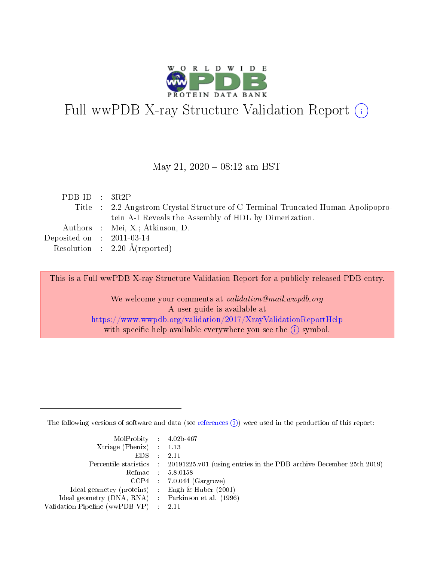

# Full wwPDB X-ray Structure Validation Report (i)

#### May 21,  $2020 - 08:12$  am BST

| PDB ID : $3R2P$                                                                  |
|----------------------------------------------------------------------------------|
| Title : 2.2 Angstrom Crystal Structure of C Terminal Truncated Human Apolipopro- |
| tein A-I Reveals the Assembly of HDL by Dimerization.                            |
| Authors : Mei, X.; Atkinson, D.                                                  |
| Deposited on : $2011-03-14$                                                      |
| Resolution : $2.20 \text{ Å}$ (reported)                                         |
|                                                                                  |

This is a Full wwPDB X-ray Structure Validation Report for a publicly released PDB entry.

We welcome your comments at validation@mail.wwpdb.org A user guide is available at <https://www.wwpdb.org/validation/2017/XrayValidationReportHelp> with specific help available everywhere you see the  $(i)$  symbol.

The following versions of software and data (see [references](https://www.wwpdb.org/validation/2017/XrayValidationReportHelp#references)  $(i)$ ) were used in the production of this report:

| MolProbity : 4.02b-467                              |                                                                                            |
|-----------------------------------------------------|--------------------------------------------------------------------------------------------|
| Xtriage (Phenix) $: 1.13$                           |                                                                                            |
| $EDS = 2.11$                                        |                                                                                            |
|                                                     | Percentile statistics : 20191225.v01 (using entries in the PDB archive December 25th 2019) |
|                                                     | Refmac : 5.8.0158                                                                          |
|                                                     | $CCP4$ : 7.0.044 (Gargrove)                                                                |
| Ideal geometry (proteins) : Engh $\&$ Huber (2001)  |                                                                                            |
| Ideal geometry (DNA, RNA) : Parkinson et al. (1996) |                                                                                            |
| Validation Pipeline (wwPDB-VP) : 2.11               |                                                                                            |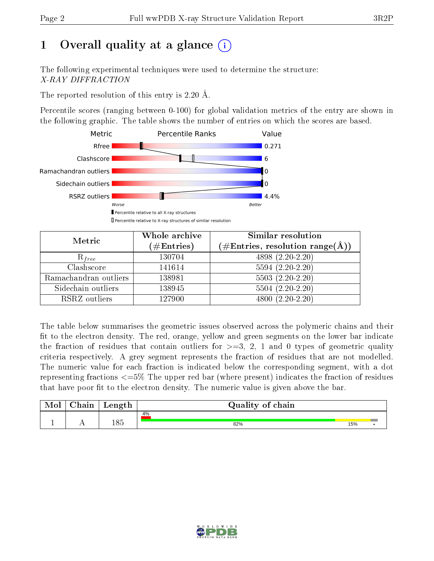# 1 [O](https://www.wwpdb.org/validation/2017/XrayValidationReportHelp#overall_quality)verall quality at a glance  $(i)$

The following experimental techniques were used to determine the structure: X-RAY DIFFRACTION

The reported resolution of this entry is 2.20 Å.

Percentile scores (ranging between 0-100) for global validation metrics of the entry are shown in the following graphic. The table shows the number of entries on which the scores are based.



| Metric                | Whole archive        | <b>Similar resolution</b>                                              |
|-----------------------|----------------------|------------------------------------------------------------------------|
|                       | $(\#\text{Entries})$ | $(\#\text{Entries},\, \text{resolution}\; \text{range}(\textup{\AA}))$ |
| $R_{free}$            | 130704               | $4898(2.20-2.20)$                                                      |
| Clashscore            | 141614               | $5594(2.20-2.20)$                                                      |
| Ramachandran outliers | 138981               | $5503 (2.20-2.20)$                                                     |
| Sidechain outliers    | 138945               | $5504(2.20-2.20)$                                                      |
| RSRZ outliers         | 127900               | $4800(2.20-2.20)$                                                      |

The table below summarises the geometric issues observed across the polymeric chains and their fit to the electron density. The red, orange, yellow and green segments on the lower bar indicate the fraction of residues that contain outliers for  $>=3, 2, 1$  and 0 types of geometric quality criteria respectively. A grey segment represents the fraction of residues that are not modelled. The numeric value for each fraction is indicated below the corresponding segment, with a dot representing fractions  $\epsilon=5\%$  The upper red bar (where present) indicates the fraction of residues that have poor fit to the electron density. The numeric value is given above the bar.

| Mol | $\sim$ $\sim$<br>hain | Length | Quality of chain |     |  |
|-----|-----------------------|--------|------------------|-----|--|
|     |                       |        | 4%               |     |  |
| л.  | . .                   | 185    | 82%              | 15% |  |

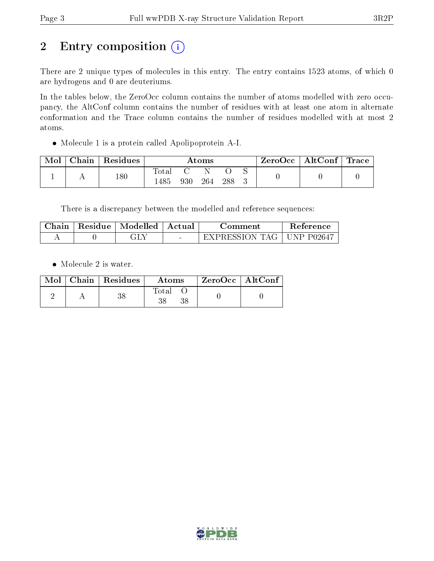# 2 Entry composition (i)

There are 2 unique types of molecules in this entry. The entry contains 1523 atoms, of which 0 are hydrogens and 0 are deuteriums.

In the tables below, the ZeroOcc column contains the number of atoms modelled with zero occupancy, the AltConf column contains the number of residues with at least one atom in alternate conformation and the Trace column contains the number of residues modelled with at most 2 atoms.

Molecule 1 is a protein called Apolipoprotein A-I.

| Mol | Chain | <sup>'</sup> Residues | $\rm{Atoms}$             |     |     | ZeroOcc   AltConf   Trace |  |  |  |
|-----|-------|-----------------------|--------------------------|-----|-----|---------------------------|--|--|--|
|     |       | 180                   | $\mathrm{Total}$<br>.485 | 930 | 264 | 288                       |  |  |  |

There is a discrepancy between the modelled and reference sequences:

| Chain | Residue   Modelled   Actual | ∴omment        | Reference      |
|-------|-----------------------------|----------------|----------------|
|       |                             | EXPRESSION TAG | $+$ UNP P02647 |

• Molecule 2 is water.

|  | Mol   Chain   Residues | Atoms | $ZeroOcc \   \ AltConf \$ |  |
|--|------------------------|-------|---------------------------|--|
|  |                        | Total |                           |  |

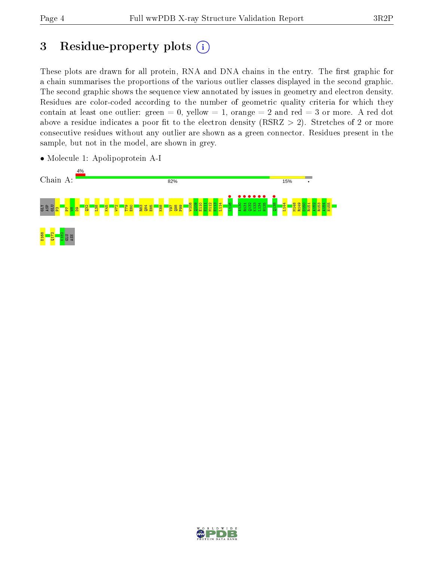# 3 Residue-property plots  $(i)$

These plots are drawn for all protein, RNA and DNA chains in the entry. The first graphic for a chain summarises the proportions of the various outlier classes displayed in the second graphic. The second graphic shows the sequence view annotated by issues in geometry and electron density. Residues are color-coded according to the number of geometric quality criteria for which they contain at least one outlier: green  $= 0$ , yellow  $= 1$ , orange  $= 2$  and red  $= 3$  or more. A red dot above a residue indicates a poor fit to the electron density (RSRZ  $> 2$ ). Stretches of 2 or more consecutive residues without any outlier are shown as a green connector. Residues present in the sample, but not in the model, are shown in grey.



• Molecule 1: Apolipoprotein A-I

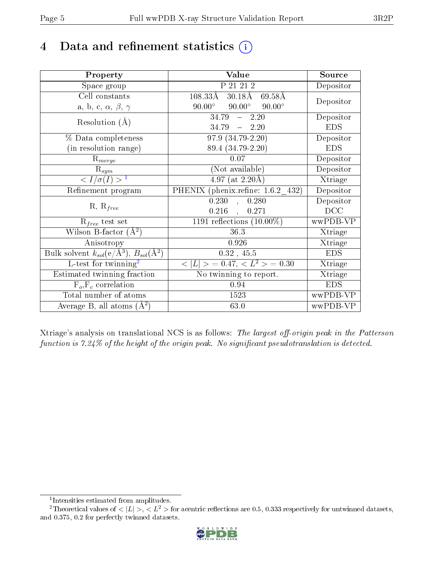# 4 Data and refinement statistics  $(i)$

| Property                                                             | Value                                             | Source     |
|----------------------------------------------------------------------|---------------------------------------------------|------------|
| Space group                                                          | P 21 21 2                                         | Depositor  |
| Cell constants                                                       | $108.33\text{\AA}$<br>$30.18\text{\AA}$<br>69.58Å | Depositor  |
| a, b, c, $\alpha$ , $\beta$ , $\gamma$                               | $90.00^\circ$<br>$90.00^\circ$<br>$90.00^\circ$   |            |
| Resolution $(A)$                                                     | $34.79 - 2.20$                                    | Depositor  |
|                                                                      | $-2.20$<br>34.79                                  | <b>EDS</b> |
| % Data completeness                                                  | 97.9 (34.79-2.20)                                 | Depositor  |
| (in resolution range)                                                | 89.4 (34.79-2.20)                                 | <b>EDS</b> |
| $R_{merge}$                                                          | 0.07                                              | Depositor  |
| $\mathrm{R}_{sym}$                                                   | (Not available)                                   | Depositor  |
| $\langle I/\sigma(I)\rangle^{-1}$                                    | $4.97$ (at 2.20 Å)                                | Xtriage    |
| Refinement program                                                   | PHENIX (phenix.refine: 1.6.2 432)                 | Depositor  |
|                                                                      | 0.230<br>0.280<br>$\sim$                          | Depositor  |
| $R, R_{free}$                                                        | $0.216$ ,<br>0.271                                | DCC        |
| $R_{free}$ test set                                                  | 1191 reflections $(10.00\%)$                      | wwPDB-VP   |
| Wilson B-factor $(A^2)$                                              | 36.3                                              | Xtriage    |
| Anisotropy                                                           | 0.926                                             | Xtriage    |
| Bulk solvent $k_{sol}(e/\mathring{A}^3)$ , $B_{sol}(\mathring{A}^2)$ | $0.32$ , 45.5                                     | <b>EDS</b> |
| $L$ -test for twinning <sup>2</sup>                                  | $< L >$ = 0.47, $< L2 >$ = 0.30                   | Xtriage    |
| Estimated twinning fraction                                          | No twinning to report.                            | Xtriage    |
| $F_o, F_c$ correlation                                               | 0.94                                              | <b>EDS</b> |
| Total number of atoms                                                | 1523                                              | wwPDB-VP   |
| Average B, all atoms $(A^2)$                                         | 63.0                                              | wwPDB-VP   |

Xtriage's analysis on translational NCS is as follows: The largest off-origin peak in the Patterson function is  $7.24\%$  of the height of the origin peak. No significant pseudotranslation is detected.

<sup>&</sup>lt;sup>2</sup>Theoretical values of  $\langle |L| \rangle$ ,  $\langle L^2 \rangle$  for acentric reflections are 0.5, 0.333 respectively for untwinned datasets, and 0.375, 0.2 for perfectly twinned datasets.



<span id="page-4-1"></span><span id="page-4-0"></span><sup>1</sup> Intensities estimated from amplitudes.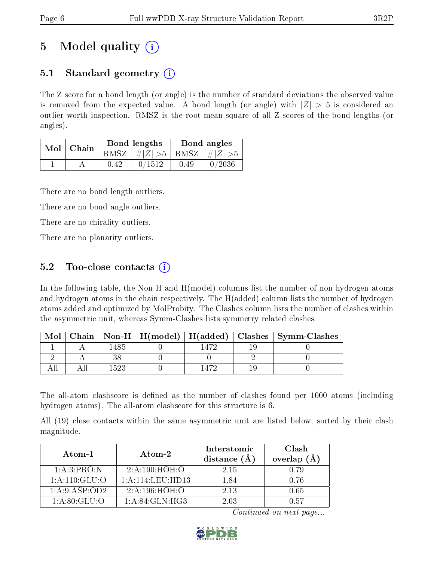# 5 Model quality  $(i)$

## 5.1 Standard geometry  $(i)$

The Z score for a bond length (or angle) is the number of standard deviations the observed value is removed from the expected value. A bond length (or angle) with  $|Z| > 5$  is considered an outlier worth inspection. RMSZ is the root-mean-square of all Z scores of the bond lengths (or angles).

| Mol | Chain |      | <b>Bond lengths</b>             | Bond angles |        |
|-----|-------|------|---------------------------------|-------------|--------|
|     |       |      | RMSZ $ #Z  > 5$ RMSZ $ #Z  > 5$ |             |        |
|     |       | 0.42 | 0/1512                          | 0.49        | 0/2036 |

There are no bond length outliers.

There are no bond angle outliers.

There are no chirality outliers.

There are no planarity outliers.

### 5.2 Too-close contacts  $\overline{()}$

In the following table, the Non-H and H(model) columns list the number of non-hydrogen atoms and hydrogen atoms in the chain respectively. The H(added) column lists the number of hydrogen atoms added and optimized by MolProbity. The Clashes column lists the number of clashes within the asymmetric unit, whereas Symm-Clashes lists symmetry related clashes.

| Mol |      |  | Chain   Non-H   H(model)   H(added)   Clashes   Symm-Clashes |
|-----|------|--|--------------------------------------------------------------|
|     |      |  |                                                              |
|     |      |  |                                                              |
|     | 1522 |  |                                                              |

The all-atom clashscore is defined as the number of clashes found per 1000 atoms (including hydrogen atoms). The all-atom clashscore for this structure is 6.

All (19) close contacts within the same asymmetric unit are listed below, sorted by their clash magnitude.

| Atom-1          | Atom-2           | Interatomic<br>distance (A | Clash<br>overlap $(A)$ |
|-----------------|------------------|----------------------------|------------------------|
| 1:A:3:PRO:N     | 2: A:190:HOH:O   | 2 15                       | 0.79                   |
| 1: A:110: GLU:O | 1:A:114:LEU:HD13 | 1.84                       | 0. 76                  |
| 1: A:9: ASP:OD2 | 2: A: 196: HOH:O | 2.13                       | 0.65                   |
| 1: A:80: GLU:O  | 1: A:84: GLN:HG3 | 2 03                       | በ 57                   |

Continued on next page...

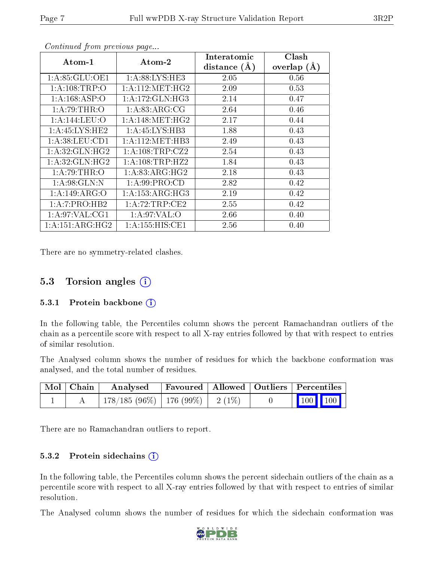| Atom-1            | Atom-2              | Interatomic    | Clash         |
|-------------------|---------------------|----------------|---------------|
|                   |                     | distance $(A)$ | overlap $(A)$ |
| 1: A:85: GLU:OE1  | 1: A:88: LYS: HE3   | 2.05           | 0.56          |
| 1:A:108:TRP:O     | 1: A:112:MET:HG2    | 2.09           | 0.53          |
| 1: A: 168: ASP:O  | 1:A:172:GLN:HG3     | 2.14           | 0.47          |
| 1:A:79:THR:O      | 1: A:83: ARG:CG     | 2.64           | 0.46          |
| 1:A:144:LEU:O     | 1: A:148: MET:HG2   | 2.17           | 0.44          |
| 1: A:45: LYS: HE2 | 1: A: 45: LYS: HB3  | 1.88           | 0.43          |
| 1: A:38: LEU: CD1 | 1: A: 112: MET: HB3 | 2.49           | 0.43          |
| 1: A:32: GLN: HG2 | 1: A:108:TRP: CZ2   | 2.54           | 0.43          |
| 1: A:32: GLN: HG2 | 1: A:108:TRP:HZ2    | 1.84           | 0.43          |
| 1:A:79:THR:O      | 1: A:83:ARG:HG2     | 2.18           | 0.43          |
| 1: A:98: GLN:N    | 1: A:99: PRO:CD     | 2.82           | 0.42          |
| 1:A:149:ARG:O     | 1: A: 153: ARG: HG3 | 2.19           | 0.42          |
| 1:A:7:PRO:HB2     | 1:A:72:TRP:CE2      | 2.55           | 0.42          |
| 1: A:97: VAL:CG1  | 1: A:97: VAL:O      | 2.66           | 0.40          |
| 1:A:151:ARG:HG2   | 1: A: 155: HIS: CE1 | 2.56           | 0.40          |

Continued from previous page...

There are no symmetry-related clashes.

### 5.3 Torsion angles  $(i)$

#### 5.3.1 Protein backbone  $(i)$

In the following table, the Percentiles column shows the percent Ramachandran outliers of the chain as a percentile score with respect to all X-ray entries followed by that with respect to entries of similar resolution.

The Analysed column shows the number of residues for which the backbone conformation was analysed, and the total number of residues.

| Mol   Chain | Analysed                               | Favoured   Allowed   Outliers   Percentiles |  |                                        |
|-------------|----------------------------------------|---------------------------------------------|--|----------------------------------------|
|             | $178/185(96\%)$   176 (99\%)   2 (1\%) |                                             |  | $\boxed{100}$ $\boxed{100}$ $\boxed{}$ |

There are no Ramachandran outliers to report.

#### 5.3.2 Protein sidechains (i)

In the following table, the Percentiles column shows the percent sidechain outliers of the chain as a percentile score with respect to all X-ray entries followed by that with respect to entries of similar resolution.

The Analysed column shows the number of residues for which the sidechain conformation was

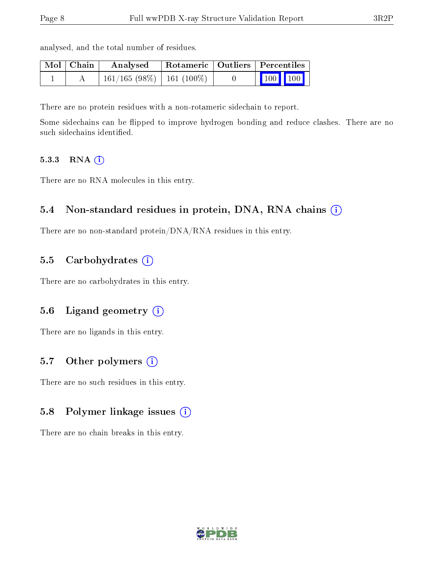| Mol   Chain | Analysed                     | Rotameric   Outliers   Percentiles |                                                          |
|-------------|------------------------------|------------------------------------|----------------------------------------------------------|
|             | $161/165$ (98%)   161 (100%) |                                    | $\begin{array}{ c c c }\n\hline\n100 & 100\n\end{array}$ |

There are no protein residues with a non-rotameric sidechain to report.

Some sidechains can be flipped to improve hydrogen bonding and reduce clashes. There are no such sidechains identified.

#### 5.3.3 RNA (i)

There are no RNA molecules in this entry.

analysed, and the total number of residues.

#### 5.4 Non-standard residues in protein, DNA, RNA chains (i)

There are no non-standard protein/DNA/RNA residues in this entry.

#### 5.5 Carbohydrates (i)

There are no carbohydrates in this entry.

### 5.6 Ligand geometry (i)

There are no ligands in this entry.

#### 5.7 [O](https://www.wwpdb.org/validation/2017/XrayValidationReportHelp#nonstandard_residues_and_ligands)ther polymers (i)

There are no such residues in this entry.

#### 5.8 Polymer linkage issues (i)

There are no chain breaks in this entry.